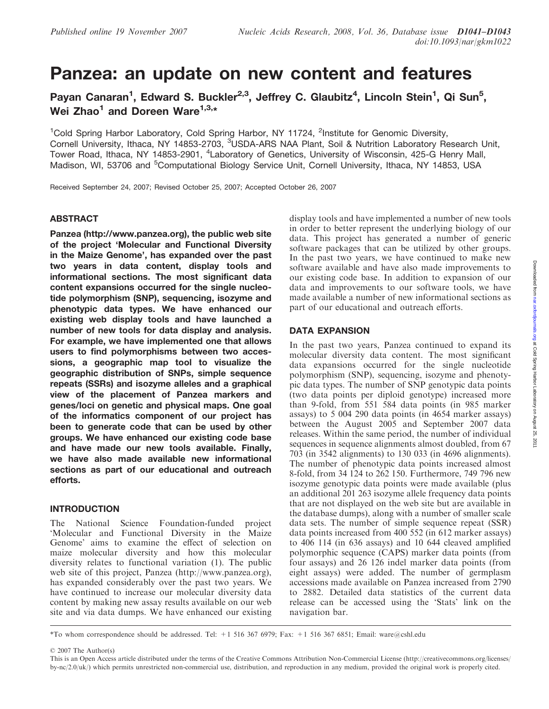# Panzea: an update on new content and features

Payan Canaran<sup>1</sup>, Edward S. Buckler<sup>2,3</sup>, Jeffrey C. Glaubitz<sup>4</sup>, Lincoln Stein<sup>1</sup>, Qi Sun<sup>5</sup>, Wei Zhao<sup>1</sup> and Doreen Ware<sup>1,3,\*</sup>

<sup>1</sup>Cold Spring Harbor Laboratory, Cold Spring Harbor, NY 11724, <sup>2</sup>Institute for Genomic Diversity, Cornell University, Ithaca, NY 14853-2703, <sup>3</sup>USDA-ARS NAA Plant, Soil & Nutrition Laboratory Research Unit, Tower Road, Ithaca, NY 14853-2901, <sup>4</sup>Laboratory of Genetics, University of Wisconsin, 425-G Henry Mall, Madison, WI, 53706 and <sup>5</sup>Computational Biology Service Unit, Cornell University, Ithaca, NY 14853, USA

Received September 24, 2007; Revised October 25, 2007; Accepted October 26, 2007

#### ABSTRACT

Panzea (http://www.panzea.org), the public web site of the project 'Molecular and Functional Diversity in the Maize Genome', has expanded over the past two years in data content, display tools and informational sections. The most significant data content expansions occurred for the single nucleotide polymorphism (SNP), sequencing, isozyme and phenotypic data types. We have enhanced our existing web display tools and have launched a number of new tools for data display and analysis. For example, we have implemented one that allows users to find polymorphisms between two accessions, a geographic map tool to visualize the geographic distribution of SNPs, simple sequence repeats (SSRs) and isozyme alleles and a graphical view of the placement of Panzea markers and genes/loci on genetic and physical maps. One goal of the informatics component of our project has been to generate code that can be used by other groups. We have enhanced our existing code base and have made our new tools available. Finally, we have also made available new informational sections as part of our educational and outreach efforts.

## INTRODUCTION

The National Science Foundation-funded project 'Molecular and Functional Diversity in the Maize Genome' aims to examine the effect of selection on maize molecular diversity and how this molecular diversity relates to functional variation (1). The public web site of this project, Panzea (http://www.panzea.org), has expanded considerably over the past two years. We have continued to increase our molecular diversity data content by making new assay results available on our web site and via data dumps. We have enhanced our existing display tools and have implemented a number of new tools in order to better represent the underlying biology of our data. This project has generated a number of generic software packages that can be utilized by other groups. In the past two years, we have continued to make new software available and have also made improvements to our existing code base. In addition to expansion of our data and improvements to our software tools, we have made available a number of new informational sections as part of our educational and outreach efforts.

#### DATA EXPANSION

In the past two years, Panzea continued to expand its molecular diversity data content. The most significant data expansions occurred for the single nucleotide polymorphism (SNP), sequencing, isozyme and phenotypic data types. The number of SNP genotypic data points (two data points per diploid genotype) increased more than 9-fold, from 551 584 data points (in 985 marker assays) to 5 004 290 data points (in 4654 marker assays) between the August 2005 and September 2007 data releases. Within the same period, the number of individual sequences in sequence alignments almost doubled, from 67 703 (in 3542 alignments) to 130 033 (in 4696 alignments). The number of phenotypic data points increased almost 8-fold, from 34 124 to 262 150. Furthermore, 749 796 new isozyme genotypic data points were made available (plus an additional 201 263 isozyme allele frequency data points that are not displayed on the web site but are available in the database dumps), along with a number of smaller scale data sets. The number of simple sequence repeat (SSR) data points increased from 400 552 (in 612 marker assays) to 406 114 (in 636 assays) and 10 644 cleaved amplified polymorphic sequence (CAPS) marker data points (from four assays) and 26 126 indel marker data points (from eight assays) were added. The number of germplasm accessions made available on Panzea increased from 2790 to 2882. Detailed data statistics of the current data release can be accessed using the 'Stats' link on the navigation bar.

\*To whom correspondence should be addressed. Tel: +1 516 367 6979; Fax: +1 516 367 6851; Email: ware@cshl.edu

 $© 2007$  The Author(s)

This is an Open Access article distributed under the terms of the Creative Commons Attribution Non-Commercial License (http://creativecommons.org/licenses/ by-nc/2.0/uk/) which permits unrestricted non-commercial use, distribution, and reproduction in any medium, provided the original work is properly cited.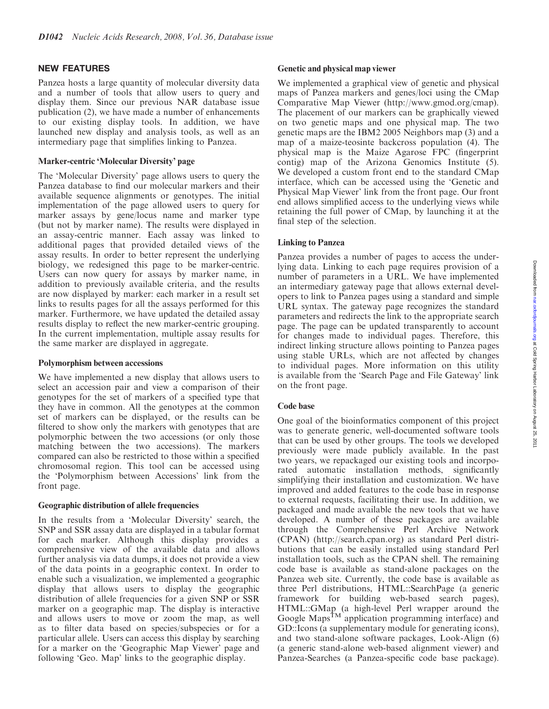## NEW FEATURES

Panzea hosts a large quantity of molecular diversity data and a number of tools that allow users to query and display them. Since our previous NAR database issue publication (2), we have made a number of enhancements to our existing display tools. In addition, we have launched new display and analysis tools, as well as an intermediary page that simplifies linking to Panzea.

## Marker-centric 'Molecular Diversity' page

The 'Molecular Diversity' page allows users to query the Panzea database to find our molecular markers and their available sequence alignments or genotypes. The initial implementation of the page allowed users to query for marker assays by gene/locus name and marker type (but not by marker name). The results were displayed in an assay-centric manner. Each assay was linked to additional pages that provided detailed views of the assay results. In order to better represent the underlying biology, we redesigned this page to be marker-centric. Users can now query for assays by marker name, in addition to previously available criteria, and the results are now displayed by marker: each marker in a result set links to results pages for all the assays performed for this marker. Furthermore, we have updated the detailed assay results display to reflect the new marker-centric grouping. In the current implementation, multiple assay results for the same marker are displayed in aggregate.

#### Polymorphism between accessions

We have implemented a new display that allows users to select an accession pair and view a comparison of their genotypes for the set of markers of a specified type that they have in common. All the genotypes at the common set of markers can be displayed, or the results can be filtered to show only the markers with genotypes that are polymorphic between the two accessions (or only those matching between the two accessions). The markers compared can also be restricted to those within a specified chromosomal region. This tool can be accessed using the 'Polymorphism between Accessions' link from the front page.

#### Geographic distribution of allele frequencies

In the results from a 'Molecular Diversity' search, the SNP and SSR assay data are displayed in a tabular format for each marker. Although this display provides a comprehensive view of the available data and allows further analysis via data dumps, it does not provide a view of the data points in a geographic context. In order to enable such a visualization, we implemented a geographic display that allows users to display the geographic distribution of allele frequencies for a given SNP or SSR marker on a geographic map. The display is interactive and allows users to move or zoom the map, as well as to filter data based on species/subspecies or for a particular allele. Users can access this display by searching for a marker on the 'Geographic Map Viewer' page and following 'Geo. Map' links to the geographic display.

#### Genetic and physical map viewer

We implemented a graphical view of genetic and physical maps of Panzea markers and genes/loci using the CMap Comparative Map Viewer (http://www.gmod.org/cmap). The placement of our markers can be graphically viewed on two genetic maps and one physical map. The two genetic maps are the IBM2 2005 Neighbors map (3) and a map of a maize-teosinte backcross population (4). The physical map is the Maize Agarose FPC (fingerprint contig) map of the Arizona Genomics Institute (5). We developed a custom front end to the standard CMap interface, which can be accessed using the 'Genetic and Physical Map Viewer' link from the front page. Our front end allows simplified access to the underlying views while retaining the full power of CMap, by launching it at the final step of the selection.

#### Linking to Panzea

Panzea provides a number of pages to access the underlying data. Linking to each page requires provision of a number of parameters in a URL. We have implemented an intermediary gateway page that allows external developers to link to Panzea pages using a standard and simple URL syntax. The gateway page recognizes the standard parameters and redirects the link to the appropriate search page. The page can be updated transparently to account for changes made to individual pages. Therefore, this indirect linking structure allows pointing to Panzea pages using stable URLs, which are not affected by changes to individual pages. More information on this utility is available from the 'Search Page and File Gateway' link on the front page.

# Code base

One goal of the bioinformatics component of this project was to generate generic, well-documented software tools that can be used by other groups. The tools we developed previously were made publicly available. In the past two years, we repackaged our existing tools and incorporated automatic installation methods, significantly simplifying their installation and customization. We have improved and added features to the code base in response to external requests, facilitating their use. In addition, we packaged and made available the new tools that we have developed. A number of these packages are available through the Comprehensive Perl Archive Network (CPAN) (http://search.cpan.org) as standard Perl distributions that can be easily installed using standard Perl installation tools, such as the CPAN shell. The remaining code base is available as stand-alone packages on the Panzea web site. Currently, the code base is available as three Perl distributions, HTML::SearchPage (a generic framework for building web-based search pages), HTML::GMap (a high-level Perl wrapper around the Google Maps<sup> $TM$ </sup> application programming interface) and GD::Icons (a supplementary module for generating icons), and two stand-alone software packages, Look-Align (6) (a generic stand-alone web-based alignment viewer) and Panzea-Searches (a Panzea-specific code base package).